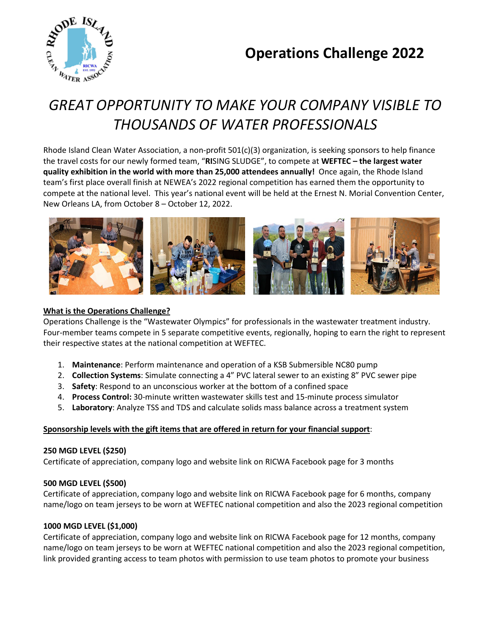## **Operations Challenge 2022**



# *GREAT OPPORTUNITY TO MAKE YOUR COMPANY VISIBLE TO THOUSANDS OF WATER PROFESSIONALS*

Rhode Island Clean Water Association, a non-profit 501(c)(3) organization, is seeking sponsors to help finance the travel costs for our newly formed team, "**RI**SING SLUDGE", to compete at **WEFTEC – the largest water quality exhibition in the world with more than 25,000 attendees annually!** Once again, the Rhode Island team's first place overall finish at NEWEA's 2022 regional competition has earned them the opportunity to compete at the national level. This year's national event will be held at the Ernest N. Morial Convention Center, New Orleans LA, from October 8 – October 12, 2022.



#### **What is the Operations Challenge?**

Operations Challenge is the "Wastewater Olympics" for professionals in the wastewater treatment industry. Four-member teams compete in 5 separate competitive events, regionally, hoping to earn the right to represent their respective states at the national competition at WEFTEC.

- 1. **Maintenance**: Perform maintenance and operation of a KSB Submersible NC80 pump
- 2. **Collection Systems**: Simulate connecting a 4" PVC lateral sewer to an existing 8" PVC sewer pipe
- 3. **Safety**: Respond to an unconscious worker at the bottom of a confined space
- 4. **Process Control:** 30-minute written wastewater skills test and 15-minute process simulator
- 5. **Laboratory**: Analyze TSS and TDS and calculate solids mass balance across a treatment system

#### **Sponsorship levels with the gift items that are offered in return for your financial support**:

#### **250 MGD LEVEL (\$250)**

Certificate of appreciation, company logo and website link on RICWA Facebook page for 3 months

#### **500 MGD LEVEL (\$500)**

Certificate of appreciation, company logo and website link on RICWA Facebook page for 6 months, company name/logo on team jerseys to be worn at WEFTEC national competition and also the 2023 regional competition

#### **1000 MGD LEVEL (\$1,000)**

Certificate of appreciation, company logo and website link on RICWA Facebook page for 12 months, company name/logo on team jerseys to be worn at WEFTEC national competition and also the 2023 regional competition, link provided granting access to team photos with permission to use team photos to promote your business